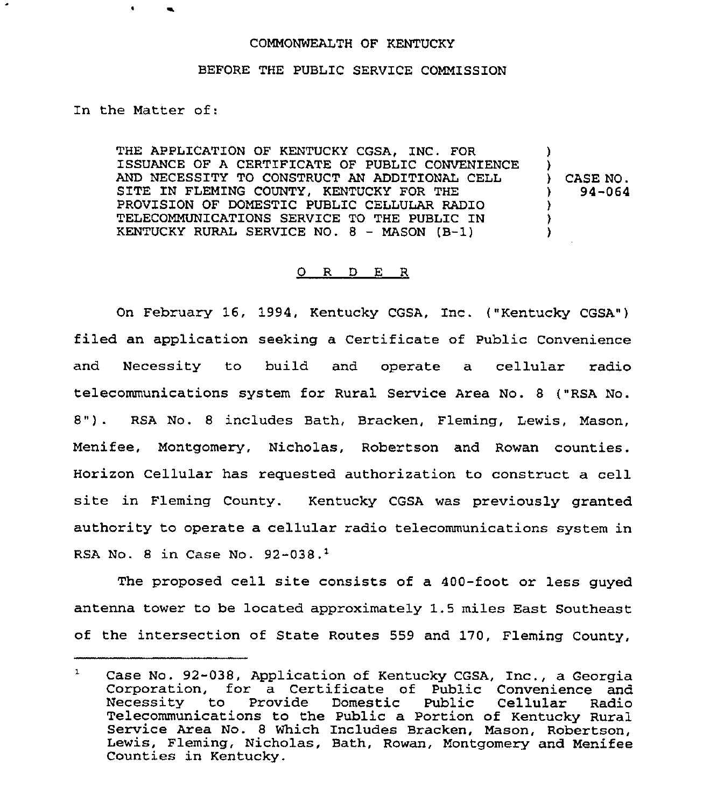## COMMONWEALTH OF KENTUCKY

## BEFORE THE PUBLIC SERVICE COMMISSION

ln the Matter of:

THE APPLICATION OF KENTUCKY CGSA, INC. FOR ISSUANCE OF A CERTIFICATE OF PUBLIC CONVENIENCE AND NECESSITY TO CONSTRUCT AN ADDITIONAL CELL SITE IN FLEMING COUNTY, KENTUCKY FOR THE PROVISION OF DOMESTIC PUBLIC CELLULAR RADIO TELECOMMUNICATIONS SERVICE TO THE PUBLIC IN KENTUCKY RURAL SERVICE NO. 8 — MASON (B-1) )<br>) ) CASE NO. ) 94-064 ) ) )

## 0 R <sup>D</sup> E R

On February 16, 1994, Kentucky CGSA, Inc. ("Kentucky CGSA") filed an application seeking a Certificate of Public Convenience and Necessity to build and operate a cellular radio telecommunications system for Rural Service Area No. 8 ("RSA No. 8") . RSA No. <sup>8</sup> includes Bath, Bracken, Fleming, Lewis, Mason, Menifee, Montgomery, Nicholas, Robertson and Rowan counties. Horizon Cellular has requested authorization to construct a cell site in Fleming County. Kentucky CGSA was previously granted authority to operate a cellular radio telecommunications system in RSA No. 8 in Case No.  $92-038$ .<sup>1</sup>

The proposed cell site consists of a 400-foot or less guyed antenna tower to be located approximately 1.5 miles East Southeast of the intersection of State Routes 559 and 170, Fleming County,

 $\mathbf{1}$ Case No. 92-038, Application of Kentucky CGSA, Inc., a Georgia Corporation, for a Certificate of Public Convenience and Necessity to Provide Telecommunications to the Public <sup>a</sup> Portion of Kentucky Rural Service Area No. <sup>8</sup> Which Includes Bracken, Mason, Robertson, Lewis, Fleming, Nicholas, Bath, Rowan, Montgomery and Menifee Counties in Kentucky.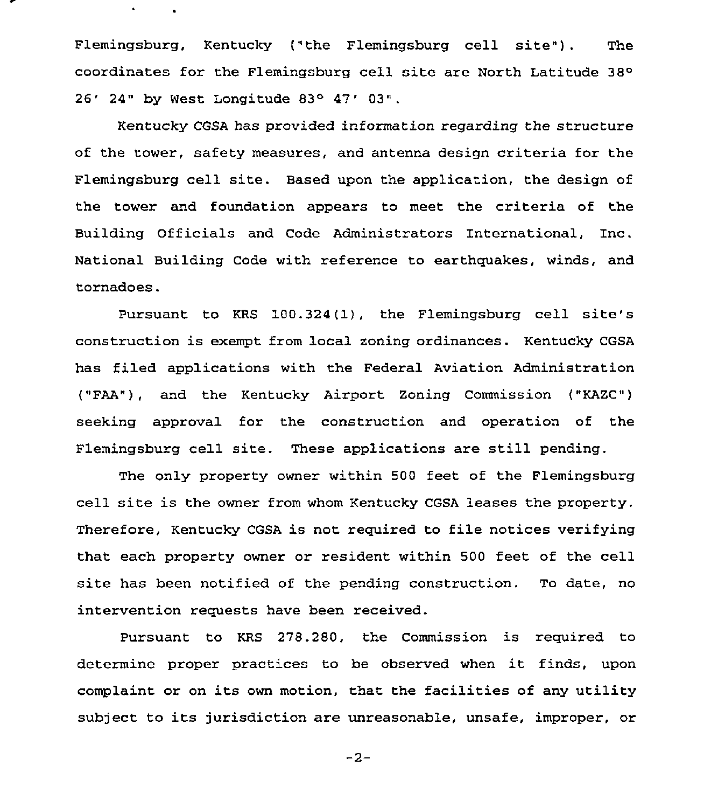Flemingsburg, Kentucky ("the Flemingsburg cell site"). The coordinates for the Flemingsburg cell site are North Latitude 38  $26'$  24" by West Longitude 83° 47' 03".

 $\bullet$ 

Kentucky CGSA has provided information regarding the structure of the tower, safety measures, and antenna design criteria for the Flemingsburg cell site. Based upon the application, the design of the tower and foundation appears to meet the criteria of the Building Officials and Code Administrators International, Inc. National Building Code with reference to earthquakes, winds, and tornadoes.

Pursuant to KRS 100.324(1], the Flemingsburg cell site's construction is exempt from local zoning ordinances. Kentucky CGSA has filed applications with the Federal Aviation Administration ("FAA"), and the Kentucky Airport Zoning Commission ("KAZC") seeking approval for the construction and operation of the Flemingsburg cell site. These applications are still pending.

The only property owner within 500 feet of the Flemingsburg cell site is the owner from whom Kentucky CGSA leases the property. Therefore, Kentucky CGSA is not required to file notices verifying that each property owner or resident within 500 feet of the cell site has been notified of the pending construction. To date, no intervention requests have been received.

Pursuant to KRS 278.280, the Commission is required to determine proper practices to be observed when it finds, upon complaint or on its own motion, that the facilities of any utility subject to its jurisdiction are unreasonable, unsafe, improper, or

 $-2-$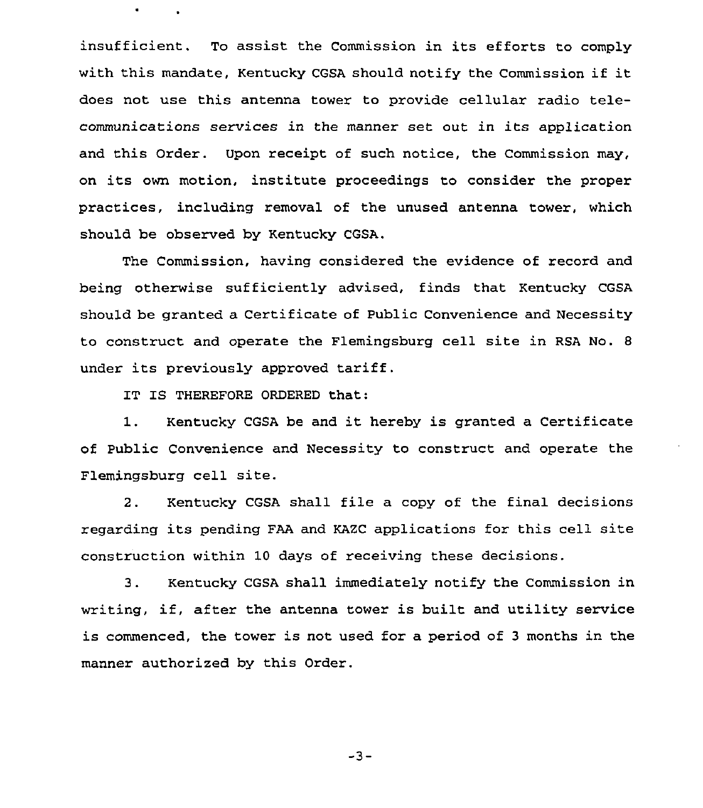insufficient. To assist the Commission in its efforts to comply with this mandate, Kentucky CGSA should notify the Commission if it does not use this antenna tower to provide cellular radio telecommunications services in the manner set out in its application and this Order. Upon receipt of such notice, the Commission may, on its own motion, institute proceedings to consider the proper practices, including removal of the unused antenna tower, which should be observed by Kentucky CGSA.

The Commission, having considered the evidence of record and being otherwise sufficiently advised, finds that Kentucky CGSA should be granted a Certificate of Public Convenience and Necessity to construct and operate the Flemingsburg cell site in RSA No. <sup>8</sup> under its previously approved tariff.

IT IS THEREFORE ORDERED that:

1. Kentucky CGSA be and it hereby is granted <sup>a</sup> Certificate of Public Convenience and Necessity to construct and operate the Flemingsburg cell site.

2. Kentucky CGSA shall file a copy of the final decisions regarding its pending FAA and KAZC applications for this cell site construction within 10 days of receiving these decisions.

3. Kentucky CGSA shall immediately notify the Commission in writing, if, after the antenna tower is built and utility service is commenced, the tower is not used for a period of <sup>3</sup> months in the manner authorized by this Order.

 $-3-$